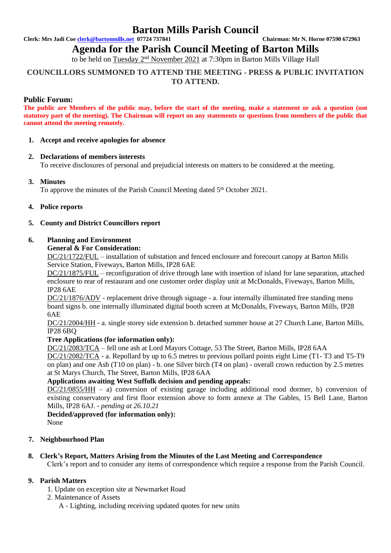## **Barton Mills Parish Council**

**Clerk: Mrs Jadi Coe [clerk@bartonmills.net](mailto:clerk@bartonmills.net) 07724 737841 Chairman: Mr N. Horne 07590 672963**

**Agenda for the Parish Council Meeting of Barton Mills** 

to be held on Tuesday 2<sup>nd</sup> November 2021 at 7:30pm in Barton Mills Village Hall

## **COUNCILLORS SUMMONED TO ATTEND THE MEETING - PRESS & PUBLIC INVITATION TO ATTEND.**

## **Public Forum:**

**The public are Members of the public may, before the start of the meeting, make a statement or ask a question (not statutory part of the meeting). The Chairman will report on any statements or questions from members of the public that cannot attend the meeting remotely.**

#### **1. Accept and receive apologies for absence**

## **2. Declarations of members interests**

To receive disclosures of personal and prejudicial interests on matters to be considered at the meeting.

## **3. Minutes**

To approve the minutes of the Parish Council Meeting dated 5<sup>th</sup> October 2021.

#### **4. Police reports**

#### **5. County and District Councillors report**

#### **6. Planning and Environment**

#### **General & For Consideration:**

DC/21/1722/FUL – installation of substation and fenced enclosure and forecourt canopy at Barton Mills Service Station, Fiveways, Barton Mills, IP28 6AE

DC/21/1875/FUL – reconfiguration of drive through lane with insertion of island for lane separation, attached enclosure to rear of restaurant and one customer order display unit at McDonalds, Fiveways, Barton Mills, IP28 6AE

DC/21/1876/ADV - replacement drive through signage - a. four internally illuminated free standing menu board signs b. one internally illuminated digital booth screen at McDonalds, Fiveways, Barton Mills, IP28 6AE

DC/21/2004/HH - a. single storey side extension b. detached summer house at 27 Church Lane, Barton Mills, IP28 6BQ

## **Tree Applications (for information only):**

DC/21/2083/TCA – fell one ash at Lord Mayors Cottage, 53 The Street, Barton Mills, IP28 6AA

DC/21/2082/TCA - a. Repollard by up to 6.5 metres to previous pollard points eight Lime (T1- T3 and T5-T9 on plan) and one Ash (T10 on plan) - b. one Silver birch (T4 on plan) - overall crown reduction by 2.5 metres at St Marys Church, The Street, Barton Mills, IP28 6AA

## **Applications awaiting West Suffolk decision and pending appeals:**

 $DC/21/0855/HH$  – a) conversion of existing garage including additional rood dormer, b) conversion of existing conservatory and first floor extension above to form annexe at The Gables, 15 Bell Lane, Barton Mills, IP28 6AJ. *- pending at 26.10.21*

**Decided/approved (for information only):**

None

## **7. Neighbourhood Plan**

**8. Clerk's Report, Matters Arising from the Minutes of the Last Meeting and Correspondence**

Clerk's report and to consider any items of correspondence which require a response from the Parish Council.

## **9. Parish Matters**

- 1. Update on exception site at Newmarket Road
- 2. Maintenance of Assets
	- A Lighting, including receiving updated quotes for new units